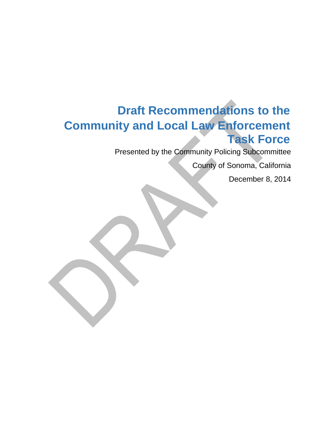# **Draft Recommendations to the Community and Local Law Enforcement Task Force**

Presented by the Community Policing Subcommittee

County of Sonoma, California

December 8, 2014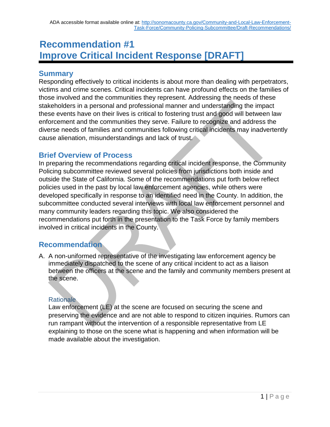# **Recommendation #1 Improve Critical Incident Response [DRAFT]**

# **Summary**

Responding effectively to critical incidents is about more than dealing with perpetrators, victims and crime scenes. Critical incidents can have profound effects on the families of those involved and the communities they represent. Addressing the needs of these stakeholders in a personal and professional manner and understanding the impact these events have on their lives is critical to fostering trust and good will between law enforcement and the communities they serve. Failure to recognize and address the diverse needs of families and communities following critical incidents may inadvertently cause alienation, misunderstandings and lack of trust.

# **Brief Overview of Process**

In preparing the recommendations regarding critical incident response, the Community Policing subcommittee reviewed several policies from jurisdictions both inside and outside the State of California. Some of the recommendations put forth below reflect policies used in the past by local law enforcement agencies, while others were developed specifically in response to an identified need in the County. In addition, the subcommittee conducted several interviews with local law enforcement personnel and many community leaders regarding this topic. We also considered the recommendations put forth in the presentation to the Task Force by family members involved in critical incidents in the County.

# **Recommendation**

A. A non-uniformed representative of the investigating law enforcement agency be immediately dispatched to the scene of any critical incident to act as a liaison between the officers at the scene and the family and community members present at the scene.

# **Rationale**

Law enforcement (LE) at the scene are focused on securing the scene and preserving the evidence and are not able to respond to citizen inquiries. Rumors can run rampant without the intervention of a responsible representative from LE explaining to those on the scene what is happening and when information will be made available about the investigation.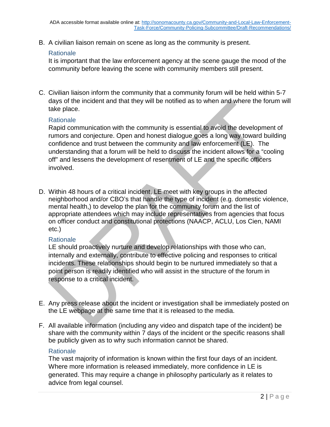B. A civilian liaison remain on scene as long as the community is present.

#### **Rationale**

It is important that the law enforcement agency at the scene gauge the mood of the community before leaving the scene with community members still present.

C. Civilian liaison inform the community that a community forum will be held within 5-7 days of the incident and that they will be notified as to when and where the forum will take place.

#### **Rationale**

Rapid communication with the community is essential to avoid the development of rumors and conjecture. Open and honest dialogue goes a long way toward building confidence and trust between the community and law enforcement (LE). The understanding that a forum will be held to discuss the incident allows for a "cooling off" and lessens the development of resentment of LE and the specific officers involved.

D. Within 48 hours of a critical incident, LE meet with key groups in the affected neighborhood and/or CBO's that handle the type of incident (e.g. domestic violence, mental health,) to develop the plan for the community forum and the list of appropriate attendees which may include representatives from agencies that focus on officer conduct and constitutional protections (NAACP, ACLU, Los Cien, NAMI etc.)

#### **Rationale**

LE should proactively nurture and develop relationships with those who can, internally and externally, contribute to effective policing and responses to critical incidents. These relationships should begin to be nurtured immediately so that a point person is readily identified who will assist in the structure of the forum in response to a critical incident.

- E. Any press release about the incident or investigation shall be immediately posted on the LE webpage at the same time that it is released to the media.
- F. All available information (including any video and dispatch tape of the incident) be share with the community within 7 days of the incident or the specific reasons shall be publicly given as to why such information cannot be shared.

#### Rationale

The vast majority of information is known within the first four days of an incident. Where more information is released immediately, more confidence in LE is generated. This may require a change in philosophy particularly as it relates to advice from legal counsel.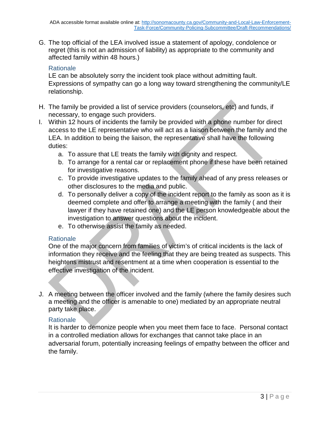G. The top official of the LEA involved issue a statement of apology, condolence or regret (this is not an admission of liability) as appropriate to the community and affected family within 48 hours.)

## **Rationale**

LE can be absolutely sorry the incident took place without admitting fault. Expressions of sympathy can go a long way toward strengthening the community/LE relationship.

- H. The family be provided a list of service providers (counselors, etc) and funds, if necessary, to engage such providers.
- I. Within 12 hours of incidents the family be provided with a phone number for direct access to the LE representative who will act as a liaison between the family and the LEA. In addition to being the liaison, the representative shall have the following duties:
	- a. To assure that LE treats the family with dignity and respect.
	- b. To arrange for a rental car or replacement phone if these have been retained for investigative reasons.
	- c. To provide investigative updates to the family ahead of any press releases or other disclosures to the media and public.
	- d. To personally deliver a copy of the incident report to the family as soon as it is deemed complete and offer to arrange a meeting with the family ( and their lawyer if they have retained one) and the LE person knowledgeable about the investigation to answer questions about the incident.
	- e. To otherwise assist the family as needed.

#### **Rationale**

One of the major concern from families of victim's of critical incidents is the lack of information they receive and the feeling that they are being treated as suspects. This heightens mistrust and resentment at a time when cooperation is essential to the effective investigation of the incident.

J. A meeting between the officer involved and the family (where the family desires such a meeting and the officer is amenable to one) mediated by an appropriate neutral party take place.

## **Rationale**

It is harder to demonize people when you meet them face to face. Personal contact in a controlled mediation allows for exchanges that cannot take place in an adversarial forum, potentially increasing feelings of empathy between the officer and the family.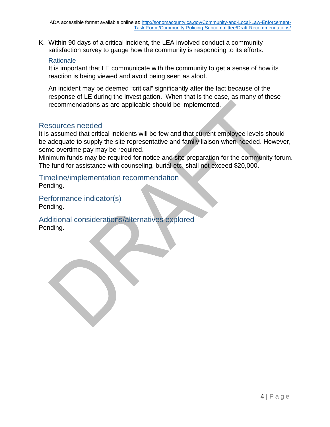K. Within 90 days of a critical incident, the LEA involved conduct a community satisfaction survey to gauge how the community is responding to its efforts.

#### **Rationale**

It is important that LE communicate with the community to get a sense of how its reaction is being viewed and avoid being seen as aloof.

An incident may be deemed "critical" significantly after the fact because of the response of LE during the investigation. When that is the case, as many of these recommendations as are applicable should be implemented.

## Resources needed

It is assumed that critical incidents will be few and that current employee levels should be adequate to supply the site representative and family liaison when needed. However, some overtime pay may be required.

Minimum funds may be required for notice and site preparation for the community forum. The fund for assistance with counseling, burial etc. shall not exceed \$20,000.

Timeline/implementation recommendation Pending.

Performance indicator(s) Pending.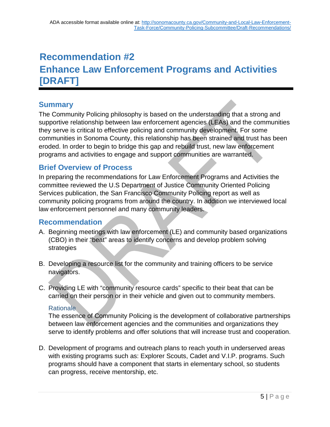# **Recommendation #2 Enhance Law Enforcement Programs and Activities [DRAFT]**

# **Summary**

The Community Policing philosophy is based on the understanding that a strong and supportive relationship between law enforcement agencies (LEAs) and the communities they serve is critical to effective policing and community development. For some communities in Sonoma County, this relationship has been strained and trust has been eroded. In order to begin to bridge this gap and rebuild trust, new law enforcement programs and activities to engage and support communities are warranted.

# **Brief Overview of Process**

In preparing the recommendations for Law Enforcement Programs and Activities the committee reviewed the U.S Department of Justice Community Oriented Policing Services publication, the San Francisco Community Policing report as well as community policing programs from around the country. In addition we interviewed local law enforcement personnel and many community leaders.

# **Recommendation**

- A. Beginning meetings with law enforcement (LE) and community based organizations (CBO) in their "beat" areas to identify concerns and develop problem solving strategies
- B. Developing a resource list for the community and training officers to be service navigators.
- C. Providing LE with "community resource cards" specific to their beat that can be carried on their person or in their vehicle and given out to community members.

## Rationale

The essence of Community Policing is the development of collaborative partnerships between law enforcement agencies and the communities and organizations they serve to identify problems and offer solutions that will increase trust and cooperation.

D. Development of programs and outreach plans to reach youth in underserved areas with existing programs such as: Explorer Scouts, Cadet and V.I.P. programs. Such programs should have a component that starts in elementary school, so students can progress, receive mentorship, etc.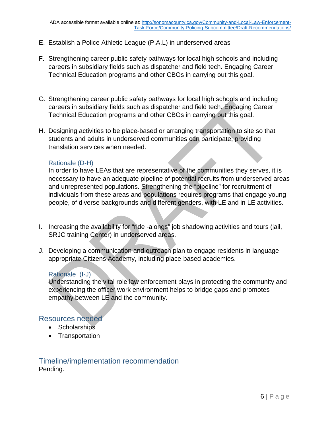- E. Establish a Police Athletic League (P.A.L) in underserved areas
- F. Strengthening career public safety pathways for local high schools and including careers in subsidiary fields such as dispatcher and field tech. Engaging Career Technical Education programs and other CBOs in carrying out this goal.
- G. Strengthening career public safety pathways for local high schools and including careers in subsidiary fields such as dispatcher and field tech. Engaging Career Technical Education programs and other CBOs in carrying out this goal.
- H. Designing activities to be place-based or arranging transportation to site so that students and adults in underserved communities can participate; providing translation services when needed.

#### Rationale (D-H)

In order to have LEAs that are representative of the communities they serves, it is necessary to have an adequate pipeline of potential recruits from underserved areas and unrepresented populations. Strengthening the "pipeline" for recruitment of individuals from these areas and populations requires programs that engage young people, of diverse backgrounds and different genders, with LE and in LE activities.

- I. Increasing the availability for "ride -alongs" job shadowing activities and tours (jail, SRJC training Center) in underserved areas.
- J. Developing a communication and outreach plan to engage residents in language appropriate Citizens Academy, including place-based academies.

#### Rationale (I-J)

Understanding the vital role law enforcement plays in protecting the community and experiencing the officer work environment helps to bridge gaps and promotes empathy between LE and the community.

#### Resources needed

- Scholarships
- Transportation

## Timeline/implementation recommendation Pending.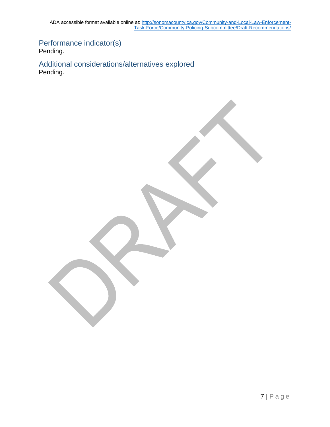ADA accessible format available online at: [http://sonomacounty.ca.gov/Community-and-Local-Law-Enforcement-](http://sonomacounty.ca.gov/Community-and-Local-Law-Enforcement-Task-Force/Community-Policing-Subcommittee/Draft-Recommendations/)[Task-Force/Community-Policing-Subcommittee/Draft-Recommendations/](http://sonomacounty.ca.gov/Community-and-Local-Law-Enforcement-Task-Force/Community-Policing-Subcommittee/Draft-Recommendations/)

Performance indicator(s) Pending.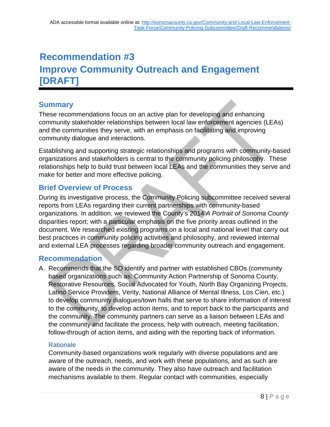# **Recommendation #3 Improve Community Outreach and Engagement [DRAFT]**

# **Summary**

These recommendations focus on an active plan for developing and enhancing community stakeholder relationships between local law enforcement agencies (LEAs) and the communities they serve, with an emphasis on facilitating and improving community dialogue and interactions.

Establishing and supporting strategic relationships and programs with community-based organizations and stakeholders is central to the community policing philosophy. These relationships help to build trust between local LEAs and the communities they serve and make for better and more effective policing.

# **Brief Overview of Process**

During its investigative process, the Community Policing subcommittee received several reports from LEAs regarding their current partnerships with community-based organizations. In addition, we reviewed the County's 2014 *A Portrait of Sonoma County*  disparities report; with a particular emphasis on the five priority areas outlined in the document. We researched existing programs on a local and national level that carry out best practices in community policing activities and philosophy, and reviewed internal and external LEA processes regarding broader community outreach and engagement.

# **Recommendation**

A. Recommends that the SO identify and partner with established CBOs (community based organizations such as: Community Action Partnership of Sonoma County, Restorative Resources, Social Advocated for Youth, North Bay Organizing Projects, Latino Service Providers, Verity, National Alliance of Mental Illness, Los Cien, etc.) to develop community dialogues/town halls that serve to share information of interest to the community, to develop action items, and to report back to the participants and the community. The community partners can serve as a liaison between LEAs and the community and facilitate the process, help with outreach, meeting facilitation, follow-through of action items, and aiding with the reporting back of information.

## **Rationale**

Community-based organizations work regularly with diverse populations and are aware of the outreach, needs, and work with these populations, and as such are aware of the needs in the community. They also have outreach and facilitation mechanisms available to them. Regular contact with communities, especially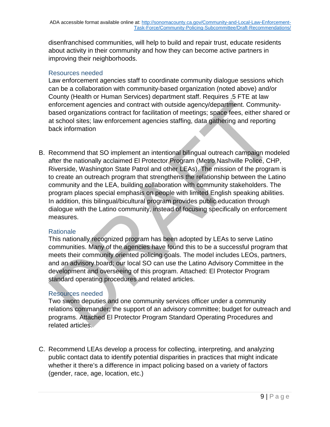disenfranchised communities, will help to build and repair trust, educate residents about activity in their community and how they can become active partners in improving their neighborhoods.

## Resources needed

Law enforcement agencies staff to coordinate community dialogue sessions which can be a collaboration with community-based organization (noted above) and/or County (Health or Human Services) department staff. Requires .5 FTE at law enforcement agencies and contract with outside agency/department. Communitybased organizations contract for facilitation of meetings; space fees, either shared or at school sites; law enforcement agencies staffing, data gathering and reporting back information

B. Recommend that SO implement an intentional bilingual outreach campaign modeled after the nationally acclaimed El Protector Program (Metro Nashville Police, CHP, Riverside, Washington State Patrol and other LEAs). The mission of the program is to create an outreach program that strengthens the relationship between the Latino community and the LEA, building collaboration with community stakeholders. The program places special emphasis on people with limited English speaking abilities. In addition, this bilingual/bicultural program provides public education through dialogue with the Latino community, instead of focusing specifically on enforcement measures.

## **Rationale**

This nationally recognized program has been adopted by LEAs to serve Latino communities. Many of the agencies have found this to be a successful program that meets their community oriented policing goals. The model includes LEOs, partners, and an advisory board; our local SO can use the Latino Advisory Committee in the development and overseeing of this program. Attached: El Protector Program standard operating procedures and related articles.

## Resources needed

Two sworn deputies and one community services officer under a community relations commander; the support of an advisory committee; budget for outreach and programs. Attached El Protector Program Standard Operating Procedures and related articles.

C. Recommend LEAs develop a process for collecting, interpreting, and analyzing public contact data to identify potential disparities in practices that might indicate whether it there's a difference in impact policing based on a variety of factors (gender, race, age, location, etc.)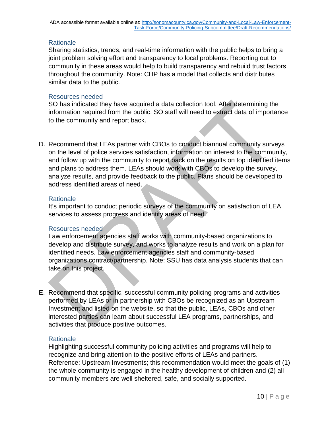Sharing statistics, trends, and real-time information with the public helps to bring a joint problem solving effort and transparency to local problems. Reporting out to community in these areas would help to build transparency and rebuild trust factors throughout the community. Note: CHP has a model that collects and distributes similar data to the public.

### Resources needed

SO has indicated they have acquired a data collection tool. After determining the information required from the public, SO staff will need to extract data of importance to the community and report back.

D. Recommend that LEAs partner with CBOs to conduct biannual community surveys on the level of police services satisfaction, information on interest to the community, and follow up with the community to report back on the results on top identified items and plans to address them. LEAs should work with CBOs to develop the survey, analyze results, and provide feedback to the public. Plans should be developed to address identified areas of need.

#### **Rationale**

It's important to conduct periodic surveys of the community on satisfaction of LEA services to assess progress and identify areas of need.

#### Resources needed

Law enforcement agencies staff works with community-based organizations to develop and distribute survey, and works to analyze results and work on a plan for identified needs. Law enforcement agencies staff and community-based organizations contract/partnership. Note: SSU has data analysis students that can take on this project.

E. Recommend that specific, successful community policing programs and activities performed by LEAs or in partnership with CBOs be recognized as an Upstream Investment and listed on the website, so that the public, LEAs, CBOs and other interested parties can learn about successful LEA programs, partnerships, and activities that produce positive outcomes.

#### **Rationale**

Highlighting successful community policing activities and programs will help to recognize and bring attention to the positive efforts of LEAs and partners. Reference: Upstream Investments; this recommendation would meet the goals of (1) the whole community is engaged in the healthy development of children and (2) all community members are well sheltered, safe, and socially supported.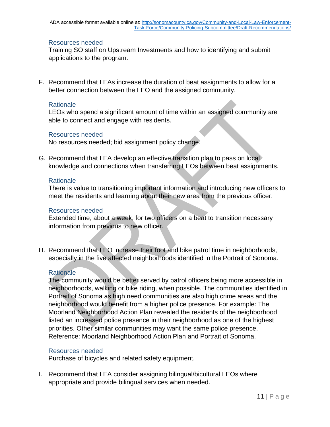#### Resources needed

Training SO staff on Upstream Investments and how to identifying and submit applications to the program.

F. Recommend that LEAs increase the duration of beat assignments to allow for a better connection between the LEO and the assigned community.

#### **Rationale**

LEOs who spend a significant amount of time within an assigned community are able to connect and engage with residents.

#### Resources needed

No resources needed; bid assignment policy change.

G. Recommend that LEA develop an effective transition plan to pass on local knowledge and connections when transferring LEOs between beat assignments.

#### **Rationale**

There is value to transitioning important information and introducing new officers to meet the residents and learning about their new area from the previous officer.

#### Resources needed

Extended time, about a week, for two officers on a beat to transition necessary information from previous to new officer.

H. Recommend that LEO increase their foot and bike patrol time in neighborhoods, especially in the five affected neighborhoods identified in the Portrait of Sonoma.

#### **Rationale**

The community would be better served by patrol officers being more accessible in neighborhoods, walking or bike riding, when possible. The communities identified in Portrait of Sonoma as high need communities are also high crime areas and the neighborhood would benefit from a higher police presence. For example: The Moorland Neighborhood Action Plan revealed the residents of the neighborhood listed an increased police presence in their neighborhood as one of the highest priorities. Other similar communities may want the same police presence. Reference: Moorland Neighborhood Action Plan and Portrait of Sonoma.

#### Resources needed

Purchase of bicycles and related safety equipment.

I. Recommend that LEA consider assigning bilingual/bicultural LEOs where appropriate and provide bilingual services when needed.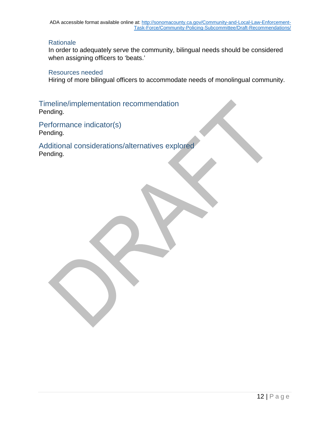In order to adequately serve the community, bilingual needs should be considered when assigning officers to 'beats.'

#### Resources needed

Hiring of more bilingual officers to accommodate needs of monolingual community.

Timeline/implementation recommendation Pending.

Performance indicator(s) Pending.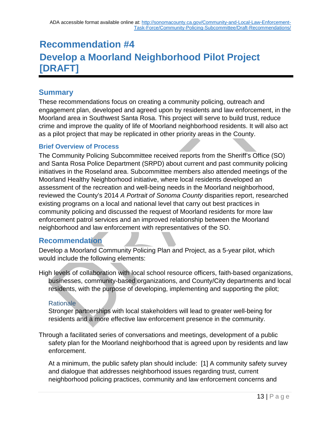# **Recommendation #4 Develop a Moorland Neighborhood Pilot Project [DRAFT]**

# **Summary**

These recommendations focus on creating a community policing, outreach and engagement plan, developed and agreed upon by residents and law enforcement, in the Moorland area in Southwest Santa Rosa. This project will serve to build trust, reduce crime and improve the quality of life of Moorland neighborhood residents. It will also act as a pilot project that may be replicated in other priority areas in the County.

## **Brief Overview of Process**

The Community Policing Subcommittee received reports from the Sheriff's Office (SO) and Santa Rosa Police Department (SRPD) about current and past community policing initiatives in the Roseland area. Subcommittee members also attended meetings of the Moorland Healthy Neighborhood initiative, where local residents developed an assessment of the recreation and well-being needs in the Moorland neighborhood, reviewed the County's 2014 *A Portrait of Sonoma County* disparities report, researched existing programs on a local and national level that carry out best practices in community policing and discussed the request of Moorland residents for more law enforcement patrol services and an improved relationship between the Moorland neighborhood and law enforcement with representatives of the SO.

# **Recommendation**

Develop a Moorland Community Policing Plan and Project, as a 5-year pilot, which would include the following elements:

High levels of collaboration with local school resource officers, faith-based organizations, businesses, community-based organizations, and County/City departments and local residents, with the purpose of developing, implementing and supporting the pilot;

## **Rationale**

Stronger partnerships with local stakeholders will lead to greater well-being for residents and a more effective law enforcement presence in the community.

Through a facilitated series of conversations and meetings, development of a public safety plan for the Moorland neighborhood that is agreed upon by residents and law enforcement.

At a minimum, the public safety plan should include: [1] A community safety survey and dialogue that addresses neighborhood issues regarding trust, current neighborhood policing practices, community and law enforcement concerns and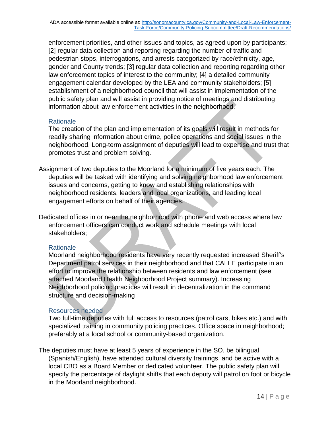enforcement priorities, and other issues and topics, as agreed upon by participants; [2] regular data collection and reporting regarding the number of traffic and pedestrian stops, interrogations, and arrests categorized by race/ethnicity, age, gender and County trends; [3] regular data collection and reporting regarding other law enforcement topics of interest to the community; [4] a detailed community engagement calendar developed by the LEA and community stakeholders; [5] establishment of a neighborhood council that will assist in implementation of the public safety plan and will assist in providing notice of meetings and distributing information about law enforcement activities in the neighborhood.

## **Rationale**

The creation of the plan and implementation of its goals will result in methods for readily sharing information about crime, police operations and social issues in the neighborhood. Long-term assignment of deputies will lead to expertise and trust that promotes trust and problem solving.

- Assignment of two deputies to the Moorland for a minimum of five years each. The deputies will be tasked with identifying and solving neighborhood law enforcement issues and concerns, getting to know and establishing relationships with neighborhood residents, leaders and local organizations, and leading local engagement efforts on behalf of their agencies.
- Dedicated offices in or near the neighborhood with phone and web access where law enforcement officers can conduct work and schedule meetings with local stakeholders;

#### **Rationale**

Moorland neighborhood residents have very recently requested increased Sheriff's Department patrol services in their neighborhood and that CALLE participate in an effort to improve the relationship between residents and law enforcement (see attached Moorland Health Neighborhood Project summary). Increasing Neighborhood policing practices will result in decentralization in the command structure and decision-making

## Resources needed

Two full-time deputies with full access to resources (patrol cars, bikes etc.) and with specialized training in community policing practices. Office space in neighborhood; preferably at a local school or community-based organization.

The deputies must have at least 5 years of experience in the SO, be bilingual (Spanish/English), have attended cultural diversity trainings, and be active with a local CBO as a Board Member or dedicated volunteer. The public safety plan will specify the percentage of daylight shifts that each deputy will patrol on foot or bicycle in the Moorland neighborhood.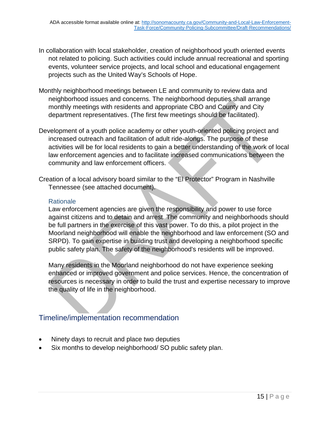- In collaboration with local stakeholder, creation of neighborhood youth oriented events not related to policing. Such activities could include annual recreational and sporting events, volunteer service projects, and local school and educational engagement projects such as the United Way's Schools of Hope.
- Monthly neighborhood meetings between LE and community to review data and neighborhood issues and concerns. The neighborhood deputies shall arrange monthly meetings with residents and appropriate CBO and County and City department representatives. (The first few meetings should be facilitated).
- Development of a youth police academy or other youth-oriented policing project and increased outreach and facilitation of adult ride-alongs. The purpose of these activities will be for local residents to gain a better understanding of the work of local law enforcement agencies and to facilitate increased communications between the community and law enforcement officers.
- Creation of a local advisory board similar to the "El Protector" Program in Nashville Tennessee (see attached document).

Law enforcement agencies are given the responsibility and power to use force against citizens and to detain and arrest. The community and neighborhoods should be full partners in the exercise of this vast power. To do this, a pilot project in the Moorland neighborhood will enable the neighborhood and law enforcement (SO and SRPD). To gain expertise in building trust and developing a neighborhood specific public safety plan. The safety of the neighborhood's residents will be improved.

Many residents in the Moorland neighborhood do not have experience seeking enhanced or improved government and police services. Hence, the concentration of resources is necessary in order to build the trust and expertise necessary to improve the quality of life in the neighborhood.

# Timeline/implementation recommendation

- Ninety days to recruit and place two deputies
- Six months to develop neighborhood/ SO public safety plan.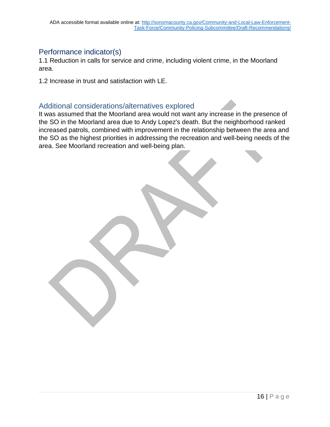## Performance indicator(s)

1.1 Reduction in calls for service and crime, including violent crime, in the Moorland area.

1.2 Increase in trust and satisfaction with LE.

## Additional considerations/alternatives explored

It was assumed that the Moorland area would not want any increase in the presence of the SO in the Moorland area due to Andy Lopez's death. But the neighborhood ranked increased patrols, combined with improvement in the relationship between the area and the SO as the highest priorities in addressing the recreation and well-being needs of the area. See Moorland recreation and well-being plan.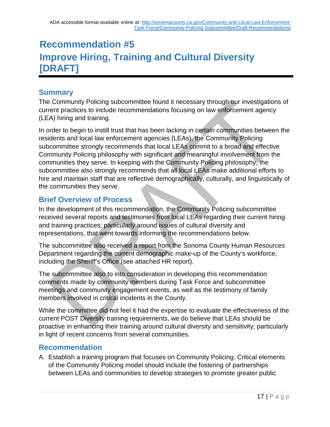# **Recommendation #5 Improve Hiring, Training and Cultural Diversity [DRAFT]**

# **Summary**

The Community Policing subcommittee found it necessary through our investigations of current practices to include recommendations focusing on law enforcement agency (LEA) hiring and training.

In order to begin to instill trust that has been lacking in certain communities between the residents and local law enforcement agencies (LEAs), the Community Policing subcommittee strongly recommends that local LEAs commit to a broad and effective Community Policing philosophy with significant and meaningful involvement from the communities they serve. In keeping with the Community Policing philosophy, the subcommittee also strongly recommends that all local LEAs make additional efforts to hire and maintain staff that are reflective demographically, culturally, and linguistically of the communities they serve.

# **Brief Overview of Process**

In the development of this recommendation, the Community Policing subcommittee received several reports and testimonies from local LEAs regarding their current hiring and training practices; particularly around issues of cultural diversity and representations, that went towards informing the recommendations below.

The subcommittee also received a report from the Sonoma County Human Resources Department regarding the current demographic make-up of the County's workforce, including the Sheriff's Office (see attached HR report).

The subcommittee also to into consideration in developing this recommendation comments made by community members during Task Force and subcommittee meetings and community engagement events, as well as the testimony of family members involved in critical incidents in the County.

While the committee did not feel it had the expertise to evaluate the effectiveness of the current POST Diversity training requirements, we do believe that LEAs should be proactive in enhancing their training around cultural diversity and sensitivity; particularly in light of recent concerns from several communities.

# **Recommendation**

A. Establish a training program that focuses on Community Policing. Critical elements of the Community Policing model should include the fostering of partnerships between LEAs and communities to develop strategies to promote greater public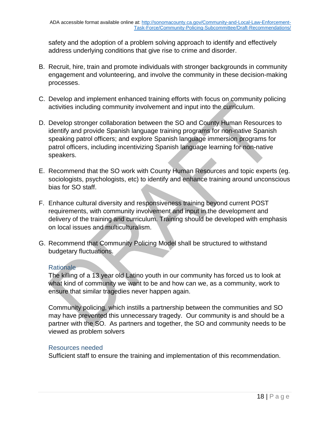safety and the adoption of a problem solving approach to identify and effectively address underlying conditions that give rise to crime and disorder.

- B. Recruit, hire, train and promote individuals with stronger backgrounds in community engagement and volunteering, and involve the community in these decision-making processes.
- C. Develop and implement enhanced training efforts with focus on community policing activities including community involvement and input into the curriculum.
- D. Develop stronger collaboration between the SO and County Human Resources to identify and provide Spanish language training programs for non-native Spanish speaking patrol officers; and explore Spanish language immersion programs for patrol officers, including incentivizing Spanish language learning for non-native speakers.
- E. Recommend that the SO work with County Human Resources and topic experts (eg. sociologists, psychologists, etc) to identify and enhance training around unconscious bias for SO staff.
- F. Enhance cultural diversity and responsiveness training beyond current POST requirements, with community involvement and input in the development and delivery of the training and curriculum. Training should be developed with emphasis on local issues and multiculturalism.
- G. Recommend that Community Policing Model shall be structured to withstand budgetary fluctuations.

## **Rationale**

The killing of a 13 year old Latino youth in our community has forced us to look at what kind of community we want to be and how can we, as a community, work to ensure that similar tragedies never happen again.

Community policing, which instills a partnership between the communities and SO may have prevented this unnecessary tragedy. Our community is and should be a partner with the SO. As partners and together, the SO and community needs to be viewed as problem solvers

#### Resources needed

Sufficient staff to ensure the training and implementation of this recommendation.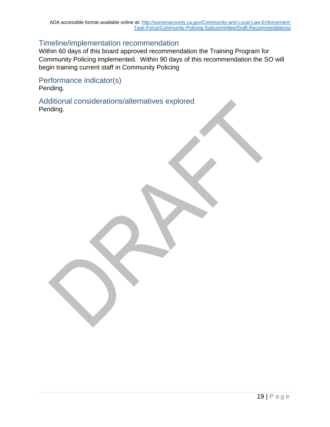## Timeline/implementation recommendation

Within 60 days of this board approved recommendation the Training Program for Community Policing implemented. Within 90 days of this recommendation the SO will begin training current staff in Community Policing

Performance indicator(s) Pending.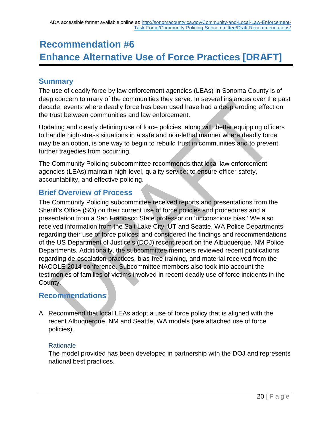# **Recommendation #6 Enhance Alternative Use of Force Practices [DRAFT]**

# **Summary**

The use of deadly force by law enforcement agencies (LEAs) in Sonoma County is of deep concern to many of the communities they serve. In several instances over the past decade, events where deadly force has been used have had a deep eroding effect on the trust between communities and law enforcement.

Updating and clearly defining use of force policies, along with better equipping officers to handle high-stress situations in a safe and non-lethal manner where deadly force may be an option, is one way to begin to rebuild trust in communities and to prevent further tragedies from occurring.

The Community Policing subcommittee recommends that local law enforcement agencies (LEAs) maintain high-level, quality service; to ensure officer safety, accountability, and effective policing.

# **Brief Overview of Process**

The Community Policing subcommittee received reports and presentations from the Sheriff's Office (SO) on their current use of force policies and procedures and a presentation from a San Francisco State professor on 'unconscious bias.' We also received information from the Salt Lake City, UT and Seattle, WA Police Departments regarding their use of force polices; and considered the findings and recommendations of the US Department of Justice's (DOJ) recent report on the Albuquerque, NM Police Departments. Additionally, the subcommittee members reviewed recent publications regarding de-escalation practices, bias-free training, and material received from the NACOLE 2014 conference. Subcommittee members also took into account the testimonies of families of victims involved in recent deadly use of force incidents in the County.

# **Recommendations**

A. Recommend that local LEAs adopt a use of force policy that is aligned with the recent Albuquerque, NM and Seattle, WA models (see attached use of force policies).

## **Rationale**

The model provided has been developed in partnership with the DOJ and represents national best practices.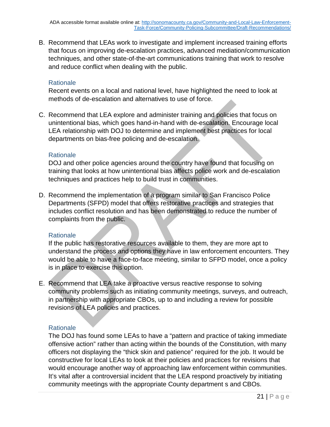B. Recommend that LEAs work to investigate and implement increased training efforts that focus on improving de-escalation practices, advanced mediation/communication techniques, and other state-of-the-art communications training that work to resolve and reduce conflict when dealing with the public.

#### **Rationale**

Recent events on a local and national level, have highlighted the need to look at methods of de-escalation and alternatives to use of force.

C. Recommend that LEA explore and administer training and policies that focus on unintentional bias, which goes hand-in-hand with de-escalation. Encourage local LEA relationship with DOJ to determine and implement best practices for local departments on bias-free policing and de-escalation.

#### **Rationale**

DOJ and other police agencies around the country have found that focusing on training that looks at how unintentional bias affects police work and de-escalation techniques and practices help to build trust in communities.

D. Recommend the implementation of a program similar to San Francisco Police Departments (SFPD) model that offers restorative practices and strategies that includes conflict resolution and has been demonstrated to reduce the number of complaints from the public.

## **Rationale**

If the public has restorative resources available to them, they are more apt to understand the process and options they have in law enforcement encounters. They would be able to have a face-to-face meeting, similar to SFPD model, once a policy is in place to exercise this option.

E. Recommend that LEA take a proactive versus reactive response to solving community problems such as initiating community meetings, surveys, and outreach, in partnership with appropriate CBOs, up to and including a review for possible revisions of LEA policies and practices.

## **Rationale**

The DOJ has found some LEAs to have a "pattern and practice of taking immediate offensive action" rather than acting within the bounds of the Constitution, with many officers not displaying the "thick skin and patience" required for the job. It would be constructive for local LEAs to look at their policies and practices for revisions that would encourage another way of approaching law enforcement within communities. It's vital after a controversial incident that the LEA respond proactively by initiating community meetings with the appropriate County department s and CBOs.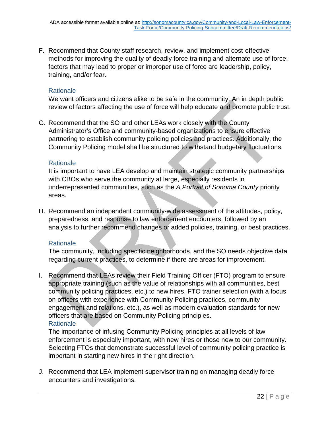F. Recommend that County staff research, review, and implement cost-effective methods for improving the quality of deadly force training and alternate use of force; factors that may lead to proper or improper use of force are leadership, policy, training, and/or fear.

### **Rationale**

We want officers and citizens alike to be safe in the community. An in depth public review of factors affecting the use of force will help educate and promote public trust.

G. Recommend that the SO and other LEAs work closely with the County Administrator's Office and community-based organizations to ensure effective partnering to establish community policing policies and practices. Additionally, the Community Policing model shall be structured to withstand budgetary fluctuations.

#### **Rationale**

It is important to have LEA develop and maintain strategic community partnerships with CBOs who serve the community at large, especially residents in underrepresented communities, such as the *A Portrait of Sonoma County* priority areas.

H. Recommend an independent community-wide assessment of the attitudes, policy, preparedness, and response to law enforcement encounters, followed by an analysis to further recommend changes or added policies, training, or best practices.

#### **Rationale**

The community, including specific neighborhoods, and the SO needs objective data regarding current practices, to determine if there are areas for improvement.

I. Recommend that LEAs review their Field Training Officer (FTO) program to ensure appropriate training (such as the value of relationships with all communities, best community policing practices, etc.) to new hires, FTO trainer selection (with a focus on officers with experience with Community Policing practices, community engagement and relations, etc.), as well as modern evaluation standards for new officers that are based on Community Policing principles. **Rationale** 

The importance of infusing Community Policing principles at all levels of law enforcement is especially important, with new hires or those new to our community. Selecting FTOs that demonstrate successful level of community policing practice is important in starting new hires in the right direction.

J. Recommend that LEA implement supervisor training on managing deadly force encounters and investigations.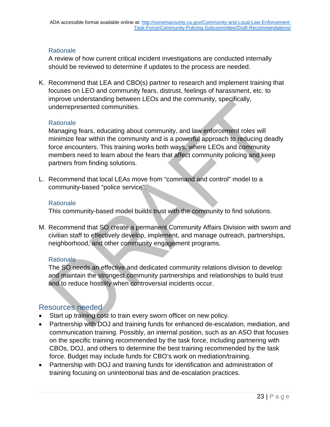A review of how current critical incident investigations are conducted internally should be reviewed to determine if updates to the process are needed.

K. Recommend that LEA and CBO(s) partner to research and implement training that focuses on LEO and community fears, distrust, feelings of harassment, etc. to improve understanding between LEOs and the community, specifically, underrepresented communities.

#### **Rationale**

Managing fears, educating about community, and law enforcement roles will minimize fear within the community and is a powerful approach to reducing deadly force encounters. This training works both ways, where LEOs and community members need to learn about the fears that affect community policing and keep partners from finding solutions.

L. Recommend that local LEAs move from "command and control" model to a community-based "police service".

## **Rationale**

This community-based model builds trust with the community to find solutions.

M. Recommend that SO create a permanent Community Affairs Division with sworn and civilian staff to effectively develop, implement, and manage outreach, partnerships, neighborhood, and other community engagement programs.

## Rationale

The SO needs an effective and dedicated community relations division to develop and maintain the strongest community partnerships and relationships to build trust and to reduce hostility when controversial incidents occur.

# Resources needed

- Start up training cost to train every sworn officer on new policy.
- Partnership with DOJ and training funds for enhanced de-escalation, mediation, and communication training. Possibly, an internal position, such as an ASO that focuses on the specific training recommended by the task force, including partnering with CBOs, DOJ, and others to determine the best training recommended by the task force. Budget may include funds for CBO's work on mediation/training.
- Partnership with DOJ and training funds for identification and administration of training focusing on unintentional bias and de-escalation practices.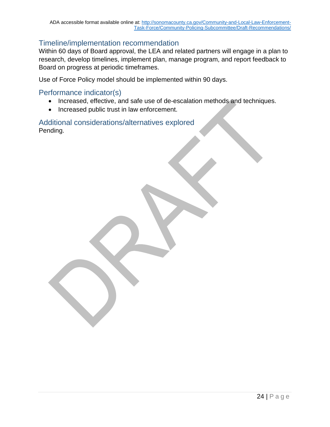## Timeline/implementation recommendation

Within 60 days of Board approval, the LEA and related partners will engage in a plan to research, develop timelines, implement plan, manage program, and report feedback to Board on progress at periodic timeframes.

Use of Force Policy model should be implemented within 90 days.

## Performance indicator(s)

- Increased, effective, and safe use of de-escalation methods and techniques.
- Increased public trust in law enforcement.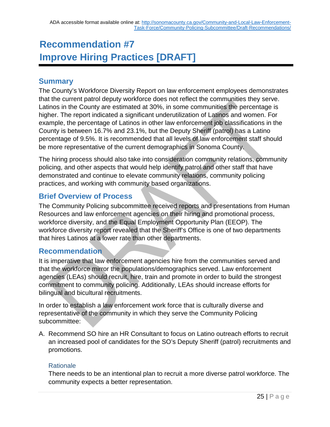# **Recommendation #7 Improve Hiring Practices [DRAFT]**

# **Summary**

The County's Workforce Diversity Report on law enforcement employees demonstrates that the current patrol deputy workforce does not reflect the communities they serve. Latinos in the County are estimated at 30%, in some communities the percentage is higher. The report indicated a significant underutilization of Latinos and women. For example, the percentage of Latinos in other law enforcement job classifications in the County is between 16.7% and 23.1%, but the Deputy Sheriff (patrol) has a Latino percentage of 9.5%. It is recommended that all levels of law enforcement staff should be more representative of the current demographics in Sonoma County.

The hiring process should also take into consideration community relations, community policing, and other aspects that would help identify patrol and other staff that have demonstrated and continue to elevate community relations, community policing practices, and working with community based organizations.

# **Brief Overview of Process**

The Community Policing subcommittee received reports and presentations from Human Resources and law enforcement agencies on their hiring and promotional process, workforce diversity, and the Equal Employment Opportunity Plan (EEOP). The workforce diversity report revealed that the Sheriff's Office is one of two departments that hires Latinos at a lower rate than other departments.

# **Recommendation**

It is imperative that law enforcement agencies hire from the communities served and that the workforce mirror the populations/demographics served. Law enforcement agencies (LEAs) should recruit, hire, train and promote in order to build the strongest commitment to community policing. Additionally, LEAs should increase efforts for bilingual and bicultural recruitments.

In order to establish a law enforcement work force that is culturally diverse and representative of the community in which they serve the Community Policing subcommittee:

A. Recommend SO hire an HR Consultant to focus on Latino outreach efforts to recruit an increased pool of candidates for the SO's Deputy Sheriff (patrol) recruitments and promotions.

## Rationale

There needs to be an intentional plan to recruit a more diverse patrol workforce. The community expects a better representation.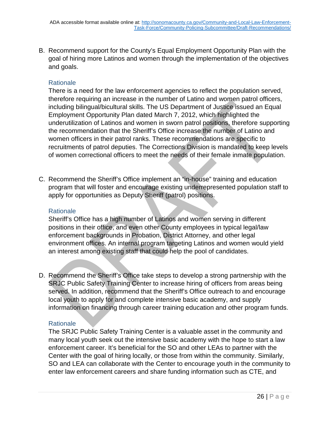B. Recommend support for the County's Equal Employment Opportunity Plan with the goal of hiring more Latinos and women through the implementation of the objectives and goals.

#### **Rationale**

There is a need for the law enforcement agencies to reflect the population served, therefore requiring an increase in the number of Latino and women patrol officers, including bilingual/bicultural skills. The US Department of Justice issued an Equal Employment Opportunity Plan dated March 7, 2012, which highlighted the underutilization of Latinos and women in sworn patrol positions, therefore supporting the recommendation that the Sheriff's Office increase the number of Latino and women officers in their patrol ranks. These recommendations are specific to recruitments of patrol deputies. The Corrections Division is mandated to keep levels of women correctional officers to meet the needs of their female inmate population.

C. Recommend the Sheriff's Office implement an "in-house" training and education program that will foster and encourage existing underrepresented population staff to apply for opportunities as Deputy Sheriff (patrol) positions.

#### **Rationale**

Sheriff's Office has a high number of Latinos and women serving in different positions in their office, and even other County employees in typical legal/law enforcement backgrounds in Probation, District Attorney, and other legal environment offices. An internal program targeting Latinos and women would yield an interest among existing staff that could help the pool of candidates.

D. Recommend the Sheriff's Office take steps to develop a strong partnership with the SRJC Public Safety Training Center to increase hiring of officers from areas being served. In addition, recommend that the Sheriff's Office outreach to and encourage local youth to apply for and complete intensive basic academy, and supply information on financing through career training education and other program funds.

#### **Rationale**

The SRJC Public Safety Training Center is a valuable asset in the community and many local youth seek out the intensive basic academy with the hope to start a law enforcement career. It's beneficial for the SO and other LEAs to partner with the Center with the goal of hiring locally, or those from within the community. Similarly, SO and LEA can collaborate with the Center to encourage youth in the community to enter law enforcement careers and share funding information such as CTE, and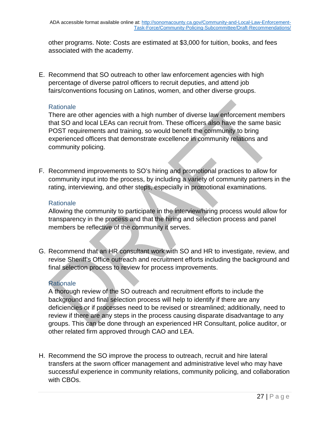other programs. Note: Costs are estimated at \$3,000 for tuition, books, and fees associated with the academy.

E. Recommend that SO outreach to other law enforcement agencies with high percentage of diverse patrol officers to recruit deputies, and attend job fairs/conventions focusing on Latinos, women, and other diverse groups.

## **Rationale**

There are other agencies with a high number of diverse law enforcement members that SO and local LEAs can recruit from. These officers also have the same basic POST requirements and training, so would benefit the community to bring experienced officers that demonstrate excellence in community relations and community policing.

F. Recommend improvements to SO's hiring and promotional practices to allow for community input into the process, by including a variety of community partners in the rating, interviewing, and other steps, especially in promotional examinations.

## **Rationale**

Allowing the community to participate in the interview/hiring process would allow for transparency in the process and that the hiring and selection process and panel members be reflective of the community it serves.

G. Recommend that an HR consultant work with SO and HR to investigate, review, and revise Sheriff's Office outreach and recruitment efforts including the background and final selection process to review for process improvements.

## **Rationale**

A thorough review of the SO outreach and recruitment efforts to include the background and final selection process will help to identify if there are any deficiencies or if processes need to be revised or streamlined; additionally, need to review if there are any steps in the process causing disparate disadvantage to any groups. This can be done through an experienced HR Consultant, police auditor, or other related firm approved through CAO and LEA.

H. Recommend the SO improve the process to outreach, recruit and hire lateral transfers at the sworn officer management and administrative level who may have successful experience in community relations, community policing, and collaboration with CBOs.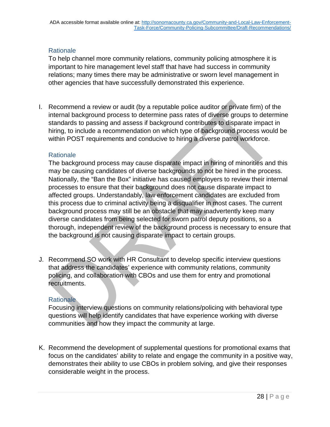To help channel more community relations, community policing atmosphere it is important to hire management level staff that have had success in community relations; many times there may be administrative or sworn level management in other agencies that have successfully demonstrated this experience.

I. Recommend a review or audit (by a reputable police auditor or private firm) of the internal background process to determine pass rates of diverse groups to determine standards to passing and assess if background contributes to disparate impact in hiring, to include a recommendation on which type of background process would be within POST requirements and conducive to hiring a diverse patrol workforce.

#### **Rationale**

The background process may cause disparate impact in hiring of minorities and this may be causing candidates of diverse backgrounds to not be hired in the process. Nationally, the "Ban the Box" initiative has caused employers to review their internal processes to ensure that their background does not cause disparate impact to affected groups. Understandably, law enforcement candidates are excluded from this process due to criminal activity being a disqualifier in most cases. The current background process may still be an obstacle that may inadvertently keep many diverse candidates from being selected for sworn patrol deputy positions, so a thorough, independent review of the background process is necessary to ensure that the background is not causing disparate impact to certain groups.

J. Recommend SO work with HR Consultant to develop specific interview questions that address the candidates' experience with community relations, community policing, and collaboration with CBOs and use them for entry and promotional recruitments.

#### **Rationale**

Focusing interview questions on community relations/policing with behavioral type questions will help identify candidates that have experience working with diverse communities and how they impact the community at large.

K. Recommend the development of supplemental questions for promotional exams that focus on the candidates' ability to relate and engage the community in a positive way, demonstrates their ability to use CBOs in problem solving, and give their responses considerable weight in the process.